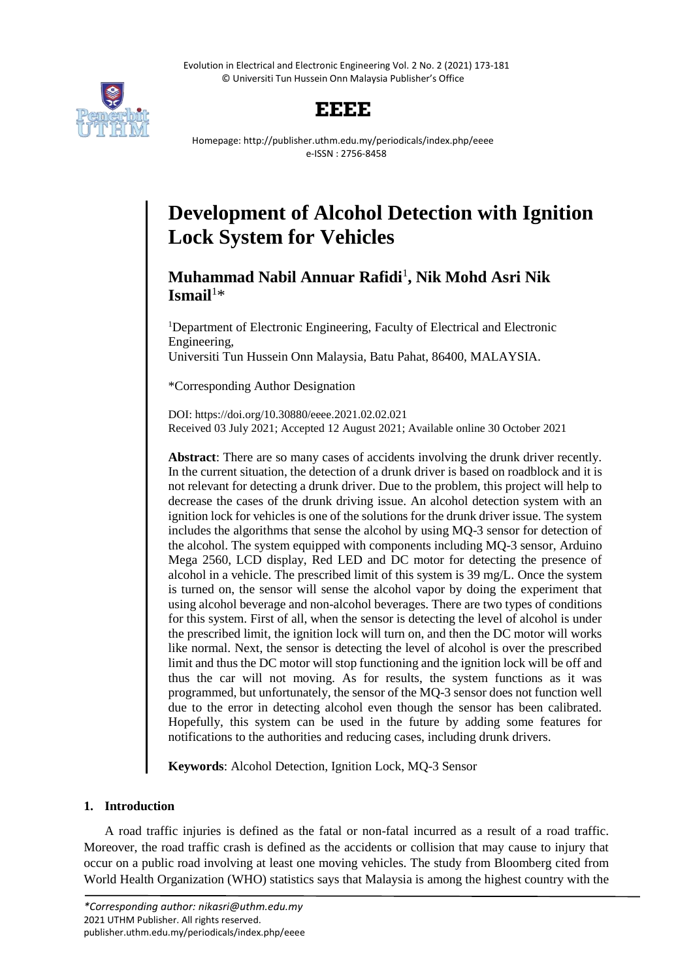Evolution in Electrical and Electronic Engineering Vol. 2 No. 2 (2021) 173-181 © Universiti Tun Hussein Onn Malaysia Publisher's Office



# **EEEE**

Homepage: http://publisher.uthm.edu.my/periodicals/index.php/eeee e-ISSN : 2756-8458

# **Development of Alcohol Detection with Ignition Lock System for Vehicles**

# **Muhammad Nabil Annuar Rafidi**<sup>1</sup> **, Nik Mohd Asri Nik Ismail**<sup>1</sup>\*

<sup>1</sup>Department of Electronic Engineering, Faculty of Electrical and Electronic Engineering, Universiti Tun Hussein Onn Malaysia, Batu Pahat, 86400, MALAYSIA.

\*Corresponding Author Designation

DOI: https://doi.org/10.30880/eeee.2021.02.02.021 Received 03 July 2021; Accepted 12 August 2021; Available online 30 October 2021

**Abstract**: There are so many cases of accidents involving the drunk driver recently. In the current situation, the detection of a drunk driver is based on roadblock and it is not relevant for detecting a drunk driver. Due to the problem, this project will help to decrease the cases of the drunk driving issue. An alcohol detection system with an ignition lock for vehicles is one of the solutions for the drunk driver issue. The system includes the algorithms that sense the alcohol by using MQ-3 sensor for detection of the alcohol. The system equipped with components including MQ-3 sensor, Arduino Mega 2560, LCD display, Red LED and DC motor for detecting the presence of alcohol in a vehicle. The prescribed limit of this system is 39 mg/L. Once the system is turned on, the sensor will sense the alcohol vapor by doing the experiment that using alcohol beverage and non-alcohol beverages. There are two types of conditions for this system. First of all, when the sensor is detecting the level of alcohol is under the prescribed limit, the ignition lock will turn on, and then the DC motor will works like normal. Next, the sensor is detecting the level of alcohol is over the prescribed limit and thus the DC motor will stop functioning and the ignition lock will be off and thus the car will not moving. As for results, the system functions as it was programmed, but unfortunately, the sensor of the MQ-3 sensor does not function well due to the error in detecting alcohol even though the sensor has been calibrated. Hopefully, this system can be used in the future by adding some features for notifications to the authorities and reducing cases, including drunk drivers.

**Keywords**: Alcohol Detection, Ignition Lock, MQ-3 Sensor

# **1. Introduction**

A road traffic injuries is defined as the fatal or non-fatal incurred as a result of a road traffic. Moreover, the road traffic crash is defined as the accidents or collision that may cause to injury that occur on a public road involving at least one moving vehicles. The study from Bloomberg cited from World Health Organization (WHO) statistics says that Malaysia is among the highest country with the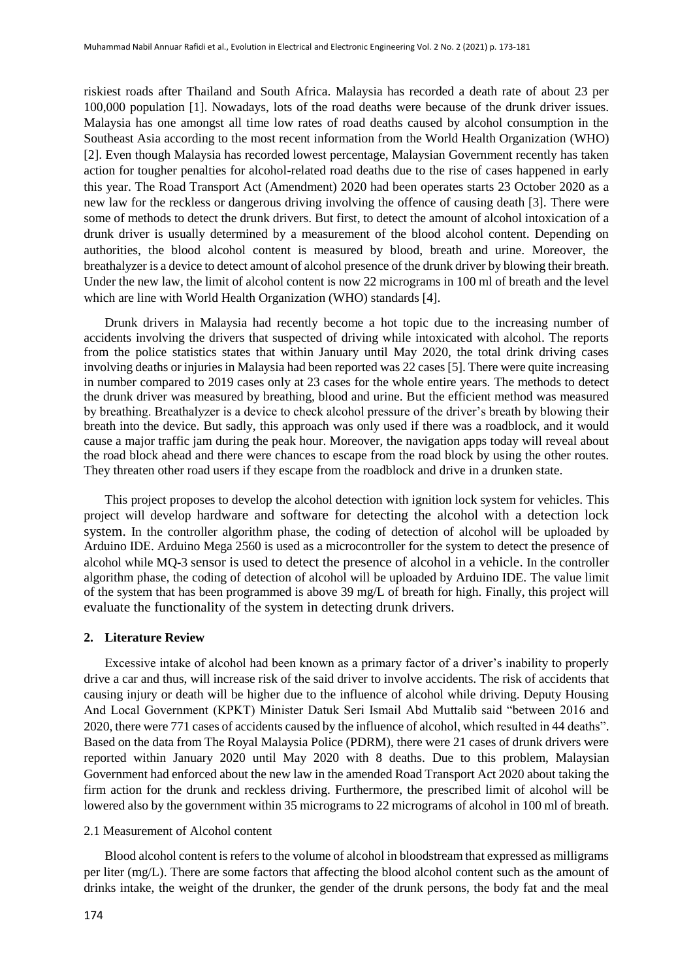riskiest roads after Thailand and South Africa. Malaysia has recorded a death rate of about 23 per 100,000 population [1]. Nowadays, lots of the road deaths were because of the drunk driver issues. Malaysia has one amongst all time low rates of road deaths caused by alcohol consumption in the Southeast Asia according to the most recent information from the World Health Organization (WHO) [2]. Even though Malaysia has recorded lowest percentage, Malaysian Government recently has taken action for tougher penalties for alcohol-related road deaths due to the rise of cases happened in early this year. The Road Transport Act (Amendment) 2020 had been operates starts 23 October 2020 as a new law for the reckless or dangerous driving involving the offence of causing death [3]. There were some of methods to detect the drunk drivers. But first, to detect the amount of alcohol intoxication of a drunk driver is usually determined by a measurement of the blood alcohol content. Depending on authorities, the blood alcohol content is measured by blood, breath and urine. Moreover, the breathalyzer is a device to detect amount of alcohol presence of the drunk driver by blowing their breath. Under the new law, the limit of alcohol content is now 22 micrograms in 100 ml of breath and the level which are line with World Health Organization (WHO) standards [4].

Drunk drivers in Malaysia had recently become a hot topic due to the increasing number of accidents involving the drivers that suspected of driving while intoxicated with alcohol. The reports from the police statistics states that within January until May 2020, the total drink driving cases involving deaths or injuries in Malaysia had been reported was 22 cases [5]. There were quite increasing in number compared to 2019 cases only at 23 cases for the whole entire years. The methods to detect the drunk driver was measured by breathing, blood and urine. But the efficient method was measured by breathing. Breathalyzer is a device to check alcohol pressure of the driver's breath by blowing their breath into the device. But sadly, this approach was only used if there was a roadblock, and it would cause a major traffic jam during the peak hour. Moreover, the navigation apps today will reveal about the road block ahead and there were chances to escape from the road block by using the other routes. They threaten other road users if they escape from the roadblock and drive in a drunken state.

This project proposes to develop the alcohol detection with ignition lock system for vehicles. This project will develop hardware and software for detecting the alcohol with a detection lock system. In the controller algorithm phase, the coding of detection of alcohol will be uploaded by Arduino IDE. Arduino Mega 2560 is used as a microcontroller for the system to detect the presence of alcohol while MQ-3 sensor is used to detect the presence of alcohol in a vehicle. In the controller algorithm phase, the coding of detection of alcohol will be uploaded by Arduino IDE. The value limit of the system that has been programmed is above 39 mg/L of breath for high. Finally, this project will evaluate the functionality of the system in detecting drunk drivers.

#### **2. Literature Review**

Excessive intake of alcohol had been known as a primary factor of a driver's inability to properly drive a car and thus, will increase risk of the said driver to involve accidents. The risk of accidents that causing injury or death will be higher due to the influence of alcohol while driving. Deputy Housing And Local Government (KPKT) Minister Datuk Seri Ismail Abd Muttalib said "between 2016 and 2020, there were 771 cases of accidents caused by the influence of alcohol, which resulted in 44 deaths". Based on the data from The Royal Malaysia Police (PDRM), there were 21 cases of drunk drivers were reported within January 2020 until May 2020 with 8 deaths. Due to this problem, Malaysian Government had enforced about the new law in the amended Road Transport Act 2020 about taking the firm action for the drunk and reckless driving. Furthermore, the prescribed limit of alcohol will be lowered also by the government within 35 micrograms to 22 micrograms of alcohol in 100 ml of breath.

### 2.1 Measurement of Alcohol content

Blood alcohol content is refers to the volume of alcohol in bloodstream that expressed as milligrams per liter (mg/L). There are some factors that affecting the blood alcohol content such as the amount of drinks intake, the weight of the drunker, the gender of the drunk persons, the body fat and the meal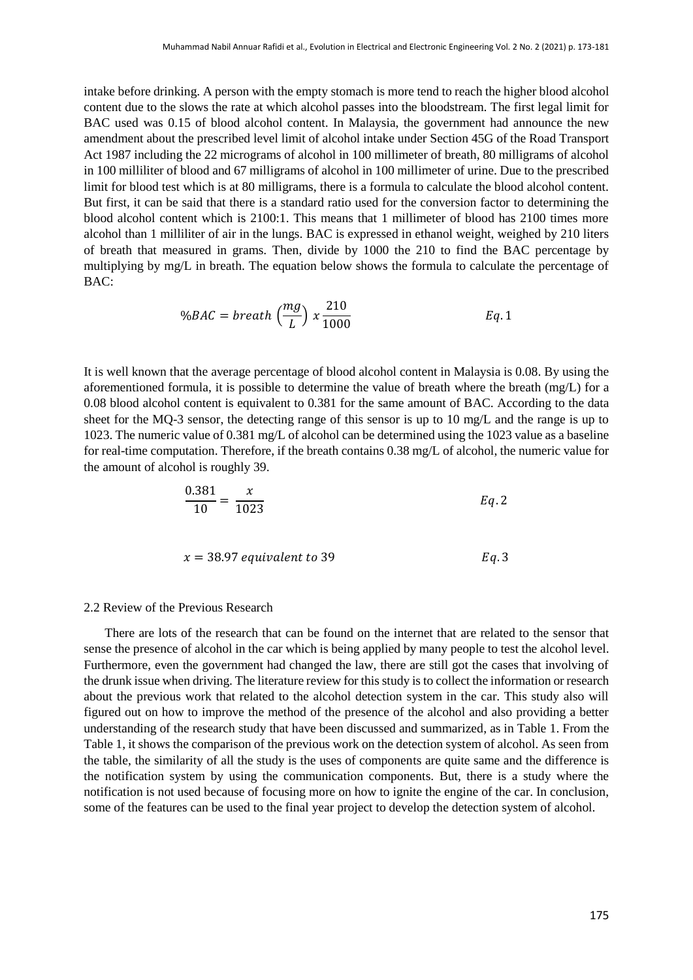intake before drinking. A person with the empty stomach is more tend to reach the higher blood alcohol content due to the slows the rate at which alcohol passes into the bloodstream. The first legal limit for BAC used was 0.15 of blood alcohol content. In Malaysia, the government had announce the new amendment about the prescribed level limit of alcohol intake under Section 45G of the Road Transport Act 1987 including the 22 micrograms of alcohol in 100 millimeter of breath, 80 milligrams of alcohol in 100 milliliter of blood and 67 milligrams of alcohol in 100 millimeter of urine. Due to the prescribed limit for blood test which is at 80 milligrams, there is a formula to calculate the blood alcohol content. But first, it can be said that there is a standard ratio used for the conversion factor to determining the blood alcohol content which is 2100:1. This means that 1 millimeter of blood has 2100 times more alcohol than 1 milliliter of air in the lungs. BAC is expressed in ethanol weight, weighed by 210 liters of breath that measured in grams. Then, divide by 1000 the 210 to find the BAC percentage by multiplying by mg/L in breath. The equation below shows the formula to calculate the percentage of BAC:

$$
\%BAC = breath\left(\frac{mg}{L}\right) \times \frac{210}{1000} \qquad Eq. 1
$$

It is well known that the average percentage of blood alcohol content in Malaysia is 0.08. By using the aforementioned formula, it is possible to determine the value of breath where the breath (mg/L) for a 0.08 blood alcohol content is equivalent to 0.381 for the same amount of BAC. According to the data sheet for the MQ-3 sensor, the detecting range of this sensor is up to 10 mg/L and the range is up to 1023. The numeric value of 0.381 mg/L of alcohol can be determined using the 1023 value as a baseline for real-time computation. Therefore, if the breath contains 0.38 mg/L of alcohol, the numeric value for the amount of alcohol is roughly 39.

$$
\frac{0.381}{10} = \frac{x}{1023}
$$
 Eq. 2

$$
x = 38.97 \; \text{equivalent to } 39 \qquad \qquad Eq. 3
$$

#### 2.2 Review of the Previous Research

There are lots of the research that can be found on the internet that are related to the sensor that sense the presence of alcohol in the car which is being applied by many people to test the alcohol level. Furthermore, even the government had changed the law, there are still got the cases that involving of the drunk issue when driving. The literature review for this study is to collect the information or research about the previous work that related to the alcohol detection system in the car. This study also will figured out on how to improve the method of the presence of the alcohol and also providing a better understanding of the research study that have been discussed and summarized, as in Table 1. From the Table 1, it shows the comparison of the previous work on the detection system of alcohol. As seen from the table, the similarity of all the study is the uses of components are quite same and the difference is the notification system by using the communication components. But, there is a study where the notification is not used because of focusing more on how to ignite the engine of the car. In conclusion, some of the features can be used to the final year project to develop the detection system of alcohol.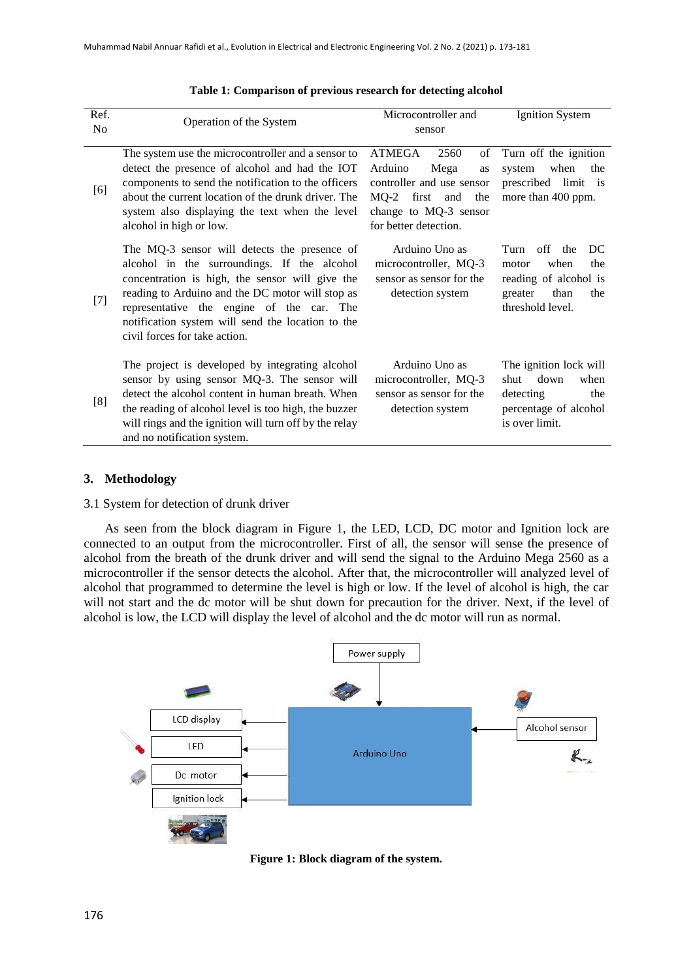| Ref.<br>No | Operation of the System                                                                                                                                                                                                                                                                                                               | Microcontroller and<br>sensor                                                                                                                         | <b>Ignition System</b>                                                                                               |
|------------|---------------------------------------------------------------------------------------------------------------------------------------------------------------------------------------------------------------------------------------------------------------------------------------------------------------------------------------|-------------------------------------------------------------------------------------------------------------------------------------------------------|----------------------------------------------------------------------------------------------------------------------|
| [6]        | The system use the microcontroller and a sensor to<br>detect the presence of alcohol and had the IOT<br>components to send the notification to the officers<br>about the current location of the drunk driver. The<br>system also displaying the text when the level<br>alcohol in high or low.                                       | ATMEGA<br>of<br>2560<br>Arduino<br>Mega<br>as<br>controller and use sensor<br>MQ-2 first and<br>the<br>change to MQ-3 sensor<br>for better detection. | Turn off the ignition<br>when<br>system<br>the<br>prescribed limit<br>is<br>more than 400 ppm.                       |
| $[7]$      | The MQ-3 sensor will detects the presence of<br>alcohol in the surroundings. If the alcohol<br>concentration is high, the sensor will give the<br>reading to Arduino and the DC motor will stop as<br>representative the engine of the car. The<br>notification system will send the location to the<br>civil forces for take action. | Arduino Uno as<br>microcontroller, MQ-3<br>sensor as sensor for the<br>detection system                                                               | Turn off<br>DC<br>the<br>when<br>the<br>motor<br>reading of alcohol is<br>than<br>the<br>greater<br>threshold level. |
| [8]        | The project is developed by integrating alcohol<br>sensor by using sensor MQ-3. The sensor will<br>detect the alcohol content in human breath. When<br>the reading of alcohol level is too high, the buzzer<br>will rings and the ignition will turn off by the relay<br>and no notification system.                                  | Arduino Uno as<br>microcontroller, MQ-3<br>sensor as sensor for the<br>detection system                                                               | The ignition lock will<br>down<br>when<br>shut<br>detecting<br>the<br>percentage of alcohol<br>is over limit.        |

#### **Table 1: Comparison of previous research for detecting alcohol**

# **3. Methodology**

#### 3.1 System for detection of drunk driver

As seen from the block diagram in Figure 1, the LED, LCD, DC motor and Ignition lock are connected to an output from the microcontroller. First of all, the sensor will sense the presence of alcohol from the breath of the drunk driver and will send the signal to the Arduino Mega 2560 as a microcontroller if the sensor detects the alcohol. After that, the microcontroller will analyzed level of alcohol that programmed to determine the level is high or low. If the level of alcohol is high, the car will not start and the dc motor will be shut down for precaution for the driver. Next, if the level of alcohol is low, the LCD will display the level of alcohol and the dc motor will run as normal.



**Figure 1: Block diagram of the system.**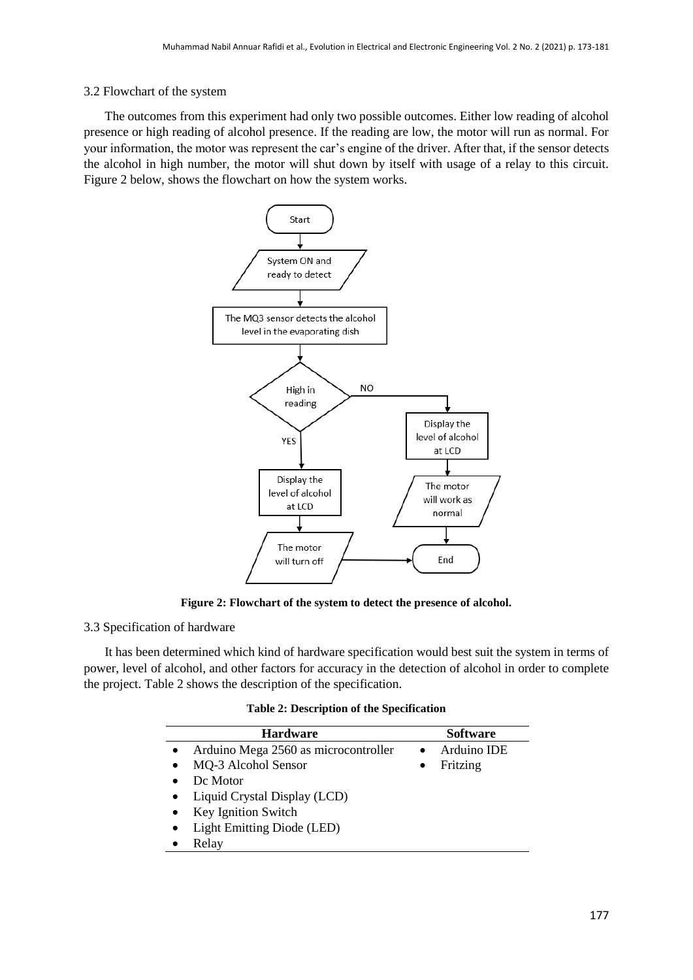# 3.2 Flowchart of the system

The outcomes from this experiment had only two possible outcomes. Either low reading of alcohol presence or high reading of alcohol presence. If the reading are low, the motor will run as normal. For your information, the motor was represent the car's engine of the driver. After that, if the sensor detects the alcohol in high number, the motor will shut down by itself with usage of a relay to this circuit. Figure 2 below, shows the flowchart on how the system works.



**Figure 2: Flowchart of the system to detect the presence of alcohol.**

# 3.3 Specification of hardware

It has been determined which kind of hardware specification would best suit the system in terms of power, level of alcohol, and other factors for accuracy in the detection of alcohol in order to complete the project. Table 2 shows the description of the specification.

| <b>Table 2: Description of the Specification</b> |  |  |
|--------------------------------------------------|--|--|
|--------------------------------------------------|--|--|

| <b>Hardware</b>                           | <b>Software</b> |
|-------------------------------------------|-----------------|
| Arduino Mega 2560 as microcontroller      | Arduino IDE     |
| MQ-3 Alcohol Sensor                       | Fritzing        |
| De Motor                                  |                 |
| Liquid Crystal Display (LCD)<br>$\bullet$ |                 |
| Key Ignition Switch                       |                 |
| Light Emitting Diode (LED)                |                 |
| Relay                                     |                 |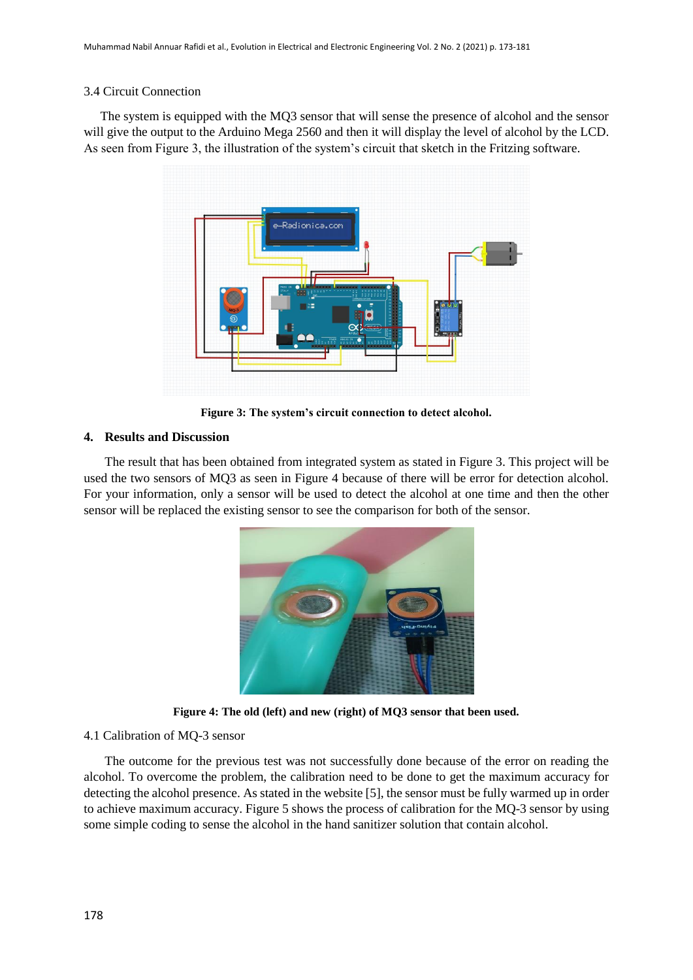## 3.4 Circuit Connection

The system is equipped with the MQ3 sensor that will sense the presence of alcohol and the sensor will give the output to the Arduino Mega 2560 and then it will display the level of alcohol by the LCD. As seen from Figure 3, the illustration of the system's circuit that sketch in the Fritzing software.



**Figure 3: The system's circuit connection to detect alcohol.**

# **4. Results and Discussion**

The result that has been obtained from integrated system as stated in Figure 3. This project will be used the two sensors of MQ3 as seen in Figure 4 because of there will be error for detection alcohol. For your information, only a sensor will be used to detect the alcohol at one time and then the other sensor will be replaced the existing sensor to see the comparison for both of the sensor.



**Figure 4: The old (left) and new (right) of MQ3 sensor that been used.**

# 4.1 Calibration of MQ-3 sensor

The outcome for the previous test was not successfully done because of the error on reading the alcohol. To overcome the problem, the calibration need to be done to get the maximum accuracy for detecting the alcohol presence. As stated in the website [5], the sensor must be fully warmed up in order to achieve maximum accuracy. Figure 5 shows the process of calibration for the MQ-3 sensor by using some simple coding to sense the alcohol in the hand sanitizer solution that contain alcohol.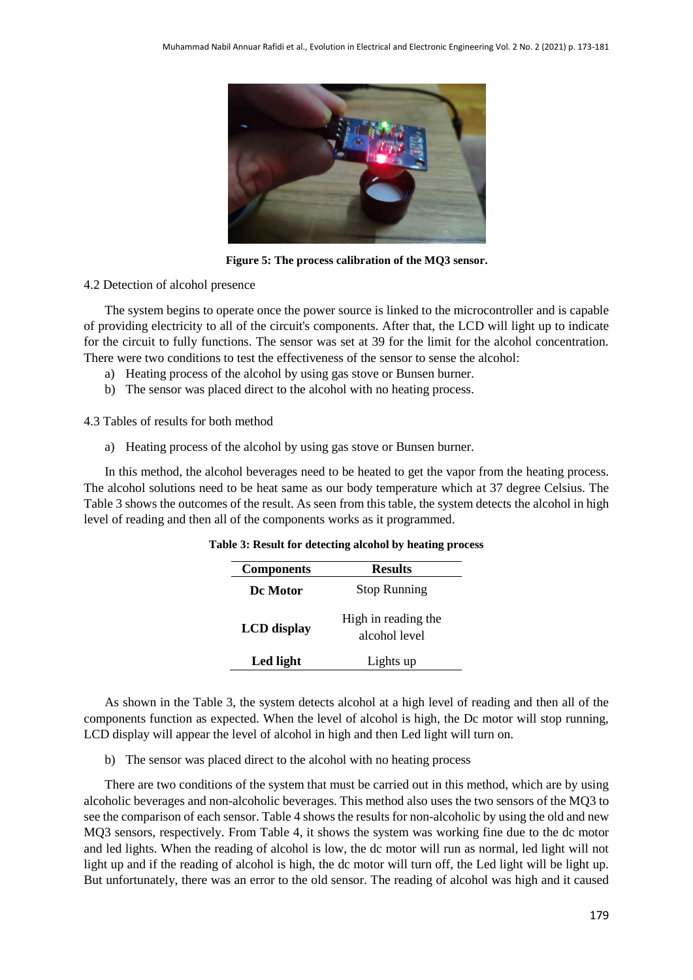

**Figure 5: The process calibration of the MQ3 sensor.**

# 4.2 Detection of alcohol presence

The system begins to operate once the power source is linked to the microcontroller and is capable of providing electricity to all of the circuit's components. After that, the LCD will light up to indicate for the circuit to fully functions. The sensor was set at 39 for the limit for the alcohol concentration. There were two conditions to test the effectiveness of the sensor to sense the alcohol:

- a) Heating process of the alcohol by using gas stove or Bunsen burner.
- b) The sensor was placed direct to the alcohol with no heating process.

4.3 Tables of results for both method

a) Heating process of the alcohol by using gas stove or Bunsen burner.

In this method, the alcohol beverages need to be heated to get the vapor from the heating process. The alcohol solutions need to be heat same as our body temperature which at 37 degree Celsius. The Table 3 shows the outcomes of the result. As seen from this table, the system detects the alcohol in high level of reading and then all of the components works as it programmed.

| <b>Components</b>  | <b>Results</b>                       |  |
|--------------------|--------------------------------------|--|
| De Motor           | <b>Stop Running</b>                  |  |
| <b>LCD</b> display | High in reading the<br>alcohol level |  |
| Led light          | Lights up                            |  |

#### **Table 3: Result for detecting alcohol by heating process**

As shown in the Table 3, the system detects alcohol at a high level of reading and then all of the components function as expected. When the level of alcohol is high, the Dc motor will stop running, LCD display will appear the level of alcohol in high and then Led light will turn on.

b) The sensor was placed direct to the alcohol with no heating process

There are two conditions of the system that must be carried out in this method, which are by using alcoholic beverages and non-alcoholic beverages. This method also uses the two sensors of the MQ3 to see the comparison of each sensor. Table 4 shows the results for non-alcoholic by using the old and new MQ3 sensors, respectively. From Table 4, it shows the system was working fine due to the dc motor and led lights. When the reading of alcohol is low, the dc motor will run as normal, led light will not light up and if the reading of alcohol is high, the dc motor will turn off, the Led light will be light up. But unfortunately, there was an error to the old sensor. The reading of alcohol was high and it caused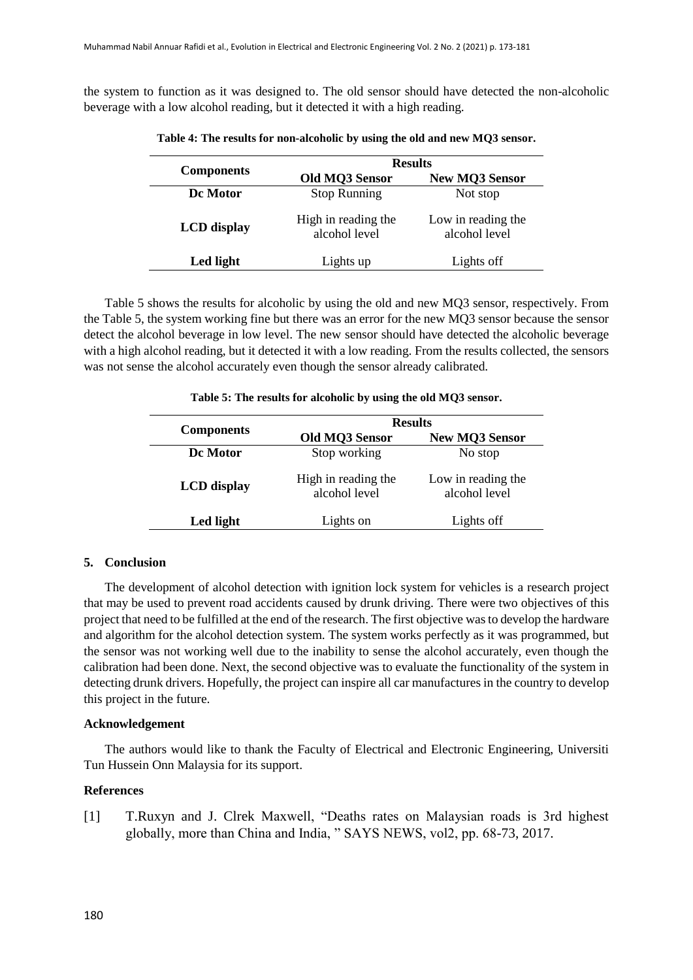the system to function as it was designed to. The old sensor should have detected the non-alcoholic beverage with a low alcohol reading, but it detected it with a high reading.

|                    | <b>Results</b>                       |                                     |  |
|--------------------|--------------------------------------|-------------------------------------|--|
| <b>Components</b>  | Old MQ3 Sensor                       | <b>New MQ3 Sensor</b>               |  |
| De Motor           | <b>Stop Running</b>                  | Not stop                            |  |
| <b>LCD</b> display | High in reading the<br>alcohol level | Low in reading the<br>alcohol level |  |
| Led light          | Lights up                            | Lights off                          |  |

**Table 4: The results for non-alcoholic by using the old and new MQ3 sensor.**

Table 5 shows the results for alcoholic by using the old and new MQ3 sensor, respectively. From the Table 5, the system working fine but there was an error for the new MQ3 sensor because the sensor detect the alcohol beverage in low level. The new sensor should have detected the alcoholic beverage with a high alcohol reading, but it detected it with a low reading. From the results collected, the sensors was not sense the alcohol accurately even though the sensor already calibrated.

|                    | <b>Results</b>                       |                                     |
|--------------------|--------------------------------------|-------------------------------------|
| <b>Components</b>  | Old MQ3 Sensor                       | <b>New MQ3 Sensor</b>               |
| De Motor           | Stop working                         | No stop                             |
| <b>LCD</b> display | High in reading the<br>alcohol level | Low in reading the<br>alcohol level |
| Led light          | Lights on                            | Lights off                          |

**Table 5: The results for alcoholic by using the old MQ3 sensor.**

#### **5. Conclusion**

The development of alcohol detection with ignition lock system for vehicles is a research project that may be used to prevent road accidents caused by drunk driving. There were two objectives of this project that need to be fulfilled at the end of the research. The first objective was to develop the hardware and algorithm for the alcohol detection system. The system works perfectly as it was programmed, but the sensor was not working well due to the inability to sense the alcohol accurately, even though the calibration had been done. Next, the second objective was to evaluate the functionality of the system in detecting drunk drivers. Hopefully, the project can inspire all car manufactures in the country to develop this project in the future.

#### **Acknowledgement**

The authors would like to thank the Faculty of Electrical and Electronic Engineering, Universiti Tun Hussein Onn Malaysia for its support.

#### **References**

[1] T.Ruxyn and J. Clrek Maxwell, "Deaths rates on Malaysian roads is 3rd highest globally, more than China and India, " SAYS NEWS, vol2, pp. 68-73, 2017.